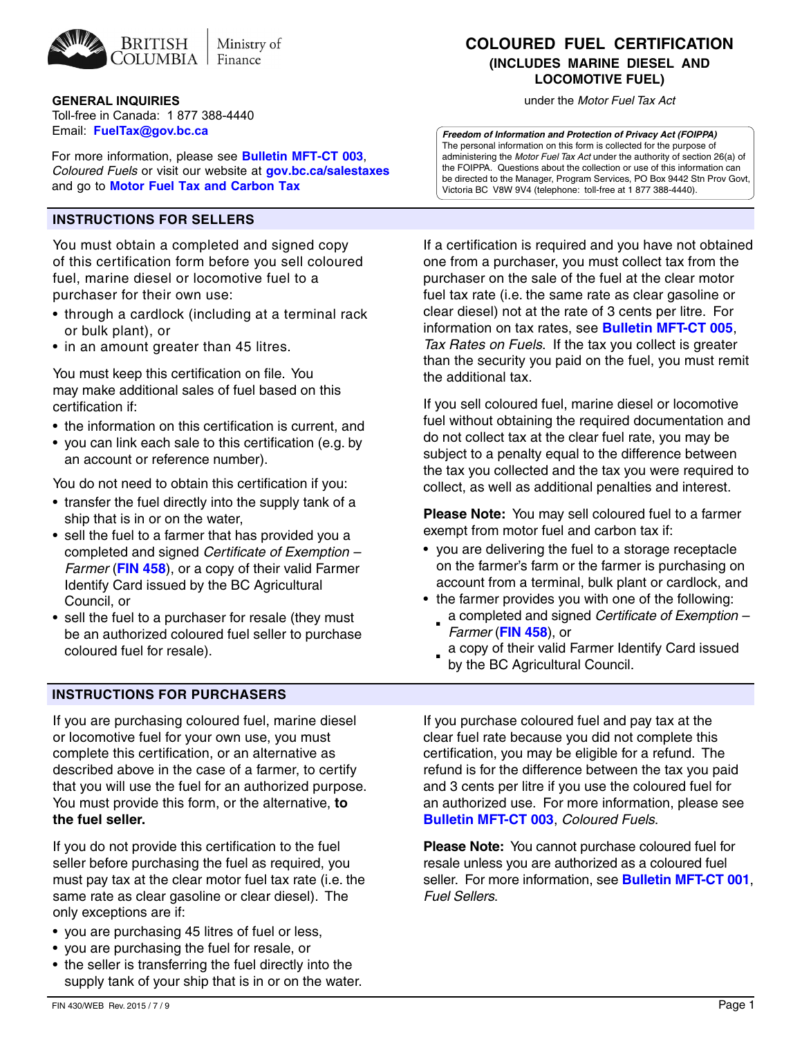

### **GENERAL INQUIRIES** UNITED ASSESSED A 2009 TO A 2009 THE *UNITED SERVICES* UNITED STATES UNITED STATES A 40 YO FUEL TAX ACT

Toll-free in Canada: 1 877 388-4440 Email: **[FuelTax@gov.bc.ca](mailto:FuelTax@gov.bc.ca)**

For more information, please see **Bulletin MFT-CT 003**, *Coloured Fuels* or visit our website at **gov.bc.ca/salestaxes**  and go to **Motor Fuel Tax and Carbon Tax**

## **Instructions for Sellers**

You must obtain a completed and signed copy of this certification form before you sell coloured fuel, marine diesel or locomotive fuel to a purchaser for their own use:

- through a cardlock (including at a terminal rack or bulk plant), or
- in an amount greater than 45 litres.

You must keep this certification on file. You may make additional sales of fuel based on this certification if:

- the information on this certification is current, and
- you can link each sale to this certification (e.g. by an account or reference number).

You do not need to obtain this certification if you:

- transfer the fuel directly into the supply tank of a ship that is in or on the water,
- sell the fuel to a farmer that has provided you a completed and signed *Certificate of Exemption – Farmer* (**FIN 458**), or a copy of their valid Farmer Identify Card issued by the BC Agricultural Council, or
- sell the fuel to a purchaser for resale (they must be an authorized coloured fuel seller to purchase coloured fuel for resale).

## **Instructions for PURCHASERS**

If you are purchasing coloured fuel, marine diesel or locomotive fuel for your own use, you must complete this certification, or an alternative as described above in the case of a farmer, to certify that you will use the fuel for an authorized purpose. You must provide this form, or the alternative, **to the fuel seller.**

If you do not provide this certification to the fuel seller before purchasing the fuel as required, you must pay tax at the clear motor fuel tax rate (i.e. the same rate as clear gasoline or clear diesel). The only exceptions are if:

- you are purchasing 45 litres of fuel or less,
- you are purchasing the fuel for resale, or
- the seller is transferring the fuel directly into the supply tank of your ship that is in or on the water.

# **COLOURED FUEL CERTIFICATION (INCLUDES MARINE DIESEL AND LOCOMOTIVE FUEL)**

*Freedom of Information and Protection of Privacy Act (FOIPPA)* The personal information on this form is collected for the purpose of administering the *Motor Fuel Tax Act* under the authority of section 26(a) of the FOIPPA*.* Questions about the collection or use of this information can be directed to the Manager, Program Services, PO Box 9442 Stn Prov Govt, Victoria BC V8W 9V4 (telephone: toll-free at 1 877 388-4440).

If a certification is required and you have not obtained one from a purchaser, you must collect tax from the purchaser on the sale of the fuel at the clear motor fuel tax rate (i.e. the same rate as clear gasoline or clear diesel) not at the rate of 3 cents per litre. For information on tax rates, see **Bulletin MFT-CT 005**, *Tax Rates on Fuels*. If the tax you collect is greater than the security you paid on the fuel, you must remit the additional tax.

If you sell coloured fuel, marine diesel or locomotive fuel without obtaining the required documentation and do not collect tax at the clear fuel rate, you may be subject to a penalty equal to the difference between the tax you collected and the tax you were required to collect, as well as additional penalties and interest.

**Please Note:** You may sell coloured fuel to a farmer exempt from motor fuel and carbon tax if:

- you are delivering the fuel to a storage receptacle on the farmer's farm or the farmer is purchasing on account from a terminal, bulk plant or cardlock, and
- the farmer provides you with one of the following:
	- a completed and signed *Certificate of Exemption Farmer* (**FIN 458**), or ■
	- a copy of their valid Farmer Identify Card issued by the BC Agricultural Council. ■

If you purchase coloured fuel and pay tax at the clear fuel rate because you did not complete this certification, you may be eligible for a refund. The refund is for the difference between the tax you paid and 3 cents per litre if you use the coloured fuel for an authorized use. For more information, please see **Bulletin MFT-CT 003**, *Coloured Fuels*.

**Please Note:** You cannot purchase coloured fuel for resale unless you are authorized as a coloured fuel seller. For more information, see **Bulletin MFT-CT 001**, *Fuel Sellers*.